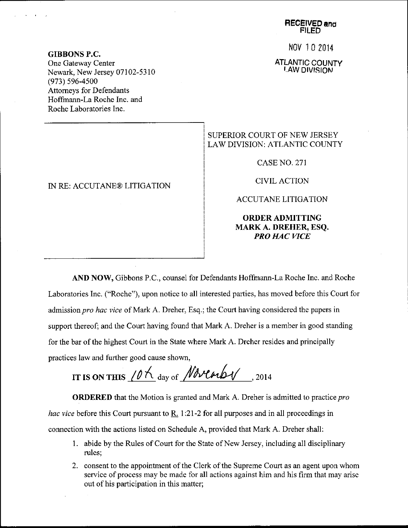No\l 10 2014

ATLANTIC COUNTY LAW DIVISION

## GIBBONS P.C. One Gateway Center Newark, New Jersey 07102-5310 (973) s96-4s00 Attomeys for Defendants Hoffrnann-La Roche Inc. and Roche Laboratories Inc.

## IN RE: ACCUTANE@ LITIGATION

## SUPERIOR COURT OF NEW JERSEY LAW DIVISION: ATLANTIC COUNTY

CASENO.271

CIVIL ACTION

ACCUTANE LITIGATION

## ORDERADMITTING MARK A. DREHER, ESQ. PRO HAC WCE

AND NOW, Gibbons P.C., counsel for Defendants Hoffmann-La Roche Inc. and Roche Laboratories Inc. ("Roche"), upon notice to all interested parties, has moved before this Court for admission pro hac vice of Mark A. Dreher, Esq.; the Court having considered the papers in support thereof; and the Court having found that Mark A. Dreher is a member in good standing for the bar of the highest Court in the State where Mark A. Dreher resides and principally practices law and further good cause shown,

IT IS ON THIS  $10K$  day of *Novemby* ,2014

**ORDERED** that the Motion is granted and Mark A. Dreher is admitted to practice *pro* hac vice before this Court pursuant to R. 1:21-2 for all purposes and in all proceedings in connection with the actions listed on Schedule A, provided that Mark A. Dreher shall:

- 1. abide by the Rules of Court for the State of New Jersey, including all disciplinary rules;
- 2. consent to the appointment of the Clerk of the Supreme Court as an agent upon whom service of process may be made for all actions against him and his firm that may arise out of his participation in this matter;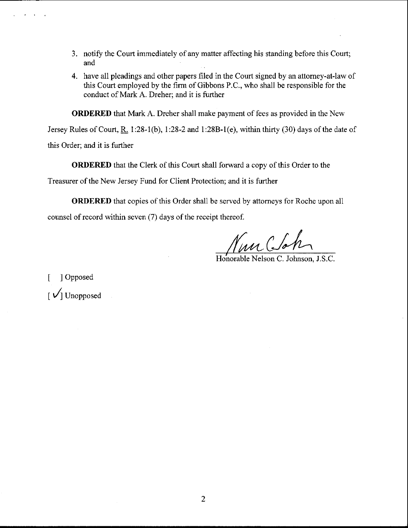- 3. notify the Court immediately of any matter affecting his standing before this Court; and
- 4. have all pleadings and other papers filed in the Court signed by an attorney-at-law of this Court employed by the firm of Gibbons P.C., who shall be responsible for the conduct of Mark A. Dreher: and it is further

ORDERED that Mark A. Dreher shall make payment of fees as provided in the New

Jersey Rules of Court, R. 1:28-1(b), 1:28-2 and 1:28B-1(e), within thirty (30) days of the date of

this Order; and it is further

ORDERED that the Clerk of this Court shall forward a copy of this Order to the

Treasurer of the New Jersey Fund for Client Protection; and it is further

ORDERED that copies of this Order shall be served by attorneys for Roche upon all counsel of record within seven (7) days of the receipt thereof.

Nun Clo

Honorable Nelson C. Johnson, J.S.C.

[ ] Opposed  $\lceil \sqrt{\smash[b]{\big]}}$  Unopposed